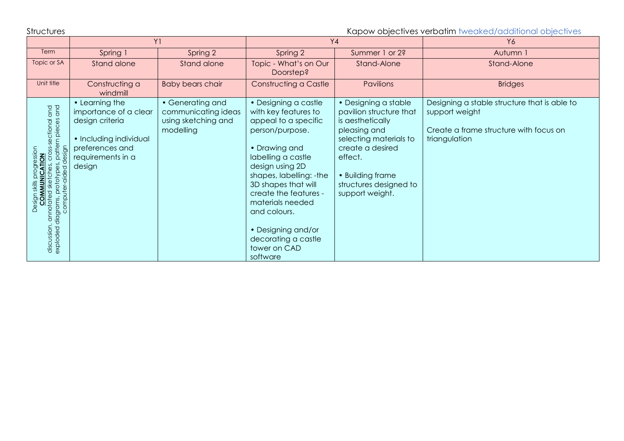Structures Subsectives verbatim tweaked/additional objectives

|                                                                                                                                                                                                                                                  | Y <sub>1</sub>                                                                                                                         |                                                                             | Y4                                                                                                                                                                                                                                                                                                                                        |                                                                                                                                                                                                               | Y6                                                                                                                        |  |
|--------------------------------------------------------------------------------------------------------------------------------------------------------------------------------------------------------------------------------------------------|----------------------------------------------------------------------------------------------------------------------------------------|-----------------------------------------------------------------------------|-------------------------------------------------------------------------------------------------------------------------------------------------------------------------------------------------------------------------------------------------------------------------------------------------------------------------------------------|---------------------------------------------------------------------------------------------------------------------------------------------------------------------------------------------------------------|---------------------------------------------------------------------------------------------------------------------------|--|
| Term                                                                                                                                                                                                                                             | Spring 1                                                                                                                               | Spring 2                                                                    | Spring 2                                                                                                                                                                                                                                                                                                                                  | Summer 1 or 2?                                                                                                                                                                                                | Autumn 1                                                                                                                  |  |
| Topic or SA                                                                                                                                                                                                                                      | Stand alone                                                                                                                            | Stand alone                                                                 | Topic - What's on Our<br>Doorstep?                                                                                                                                                                                                                                                                                                        | Stand-Alone                                                                                                                                                                                                   | Stand-Alone                                                                                                               |  |
| Unit title                                                                                                                                                                                                                                       | Constructing a<br>windmill                                                                                                             | <b>Baby bears chair</b>                                                     | Constructing a Castle                                                                                                                                                                                                                                                                                                                     | Pavilions                                                                                                                                                                                                     | <b>Bridges</b>                                                                                                            |  |
| annotated sketches, cross-sectional and<br>slagrams, prototypes, pattern pieces and<br>design<br>sign skills progression<br><b>COMMUNICATION</b><br>discussion, annorureu and an<br>exploded diagrams, prototypes,<br>computer-aided d<br>Design | • Learning the<br>importance of a clear<br>design criteria<br>• Including individual<br>preferences and<br>requirements in a<br>design | • Generating and<br>communicating ideas<br>using sketching and<br>modelling | • Designing a castle<br>with key features to<br>appeal to a specific<br>person/purpose.<br>• Drawing and<br>labelling a castle<br>design using 2D<br>shapes, labelling: -the<br>3D shapes that will<br>create the features -<br>materials needed<br>and colours.<br>• Designing and/or<br>decorating a castle<br>tower on CAD<br>software | • Designing a stable<br>pavilion structure that<br>is aesthetically<br>pleasing and<br>selecting materials to<br>create a desired<br>effect.<br>• Building frame<br>structures designed to<br>support weight. | Designing a stable structure that is able to<br>support weight<br>Create a frame structure with focus on<br>triangulation |  |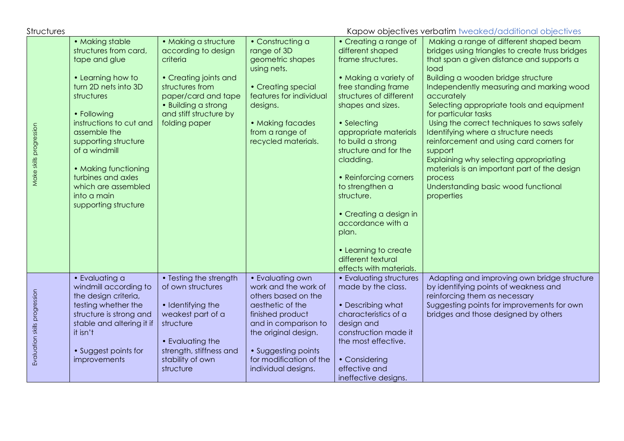п

Structures Structures Contractives verbatim tweaked/additional objectives

| Make skills progression       | • Making stable<br>structures from card,<br>tape and glue<br>• Learning how to<br>turn 2D nets into 3D<br>structures<br>• Following<br>instructions to cut and<br>assemble the<br>supporting structure<br>of a windmill<br>• Making functioning<br>turbines and axles<br>which are assembled<br>into a main<br>supporting structure | • Making a structure<br>according to design<br>criteria<br>• Creating joints and<br>structures from<br>paper/card and tape<br>• Building a strong<br>and stiff structure by<br>folding paper | • Constructing a<br>range of 3D<br>geometric shapes<br>using nets.<br>• Creating special<br>features for individual<br>designs.<br>• Making facades<br>from a range of<br>recycled materials.                                    | p <u></u><br>• Creating a range of<br>different shaped<br>frame structures.<br>• Making a variety of<br>free standing frame<br>structures of different<br>shapes and sizes.<br>• Selecting<br>appropriate materials<br>to build a strong<br>structure and for the<br>cladding.<br>• Reinforcing corners<br>to strengthen a<br>structure.<br>• Creating a design in<br>accordance with a<br>plan.<br>• Learning to create<br>different textural<br>effects with materials. | Making a range of different shaped beam<br>bridges using triangles to create truss bridges<br>that span a given distance and supports a<br>load<br>Building a wooden bridge structure<br>Independently measuring and marking wood<br>accurately<br>Selecting appropriate tools and equipment<br>for particular tasks<br>Using the correct techniques to saws safely<br>Identifying where a structure needs<br>reinforcement and using card corners for<br>support<br>Explaining why selecting appropriating<br>materials is an important part of the design<br>process<br>Understanding basic wood functional<br>properties |
|-------------------------------|-------------------------------------------------------------------------------------------------------------------------------------------------------------------------------------------------------------------------------------------------------------------------------------------------------------------------------------|----------------------------------------------------------------------------------------------------------------------------------------------------------------------------------------------|----------------------------------------------------------------------------------------------------------------------------------------------------------------------------------------------------------------------------------|---------------------------------------------------------------------------------------------------------------------------------------------------------------------------------------------------------------------------------------------------------------------------------------------------------------------------------------------------------------------------------------------------------------------------------------------------------------------------|-----------------------------------------------------------------------------------------------------------------------------------------------------------------------------------------------------------------------------------------------------------------------------------------------------------------------------------------------------------------------------------------------------------------------------------------------------------------------------------------------------------------------------------------------------------------------------------------------------------------------------|
| Evaluation skills progression | • Evaluating a<br>windmill according to<br>the design criteria,<br>testing whether the<br>structure is strong and<br>stable and altering it if<br>it isn't<br>• Suggest points for<br>improvements                                                                                                                                  | • Testing the strength<br>of own structures<br>• Identifying the<br>weakest part of a<br>structure<br>• Evaluating the<br>strength, stiffness and<br>stability of own<br>structure           | • Evaluating own<br>work and the work of<br>others based on the<br>aesthetic of the<br>finished product<br>and in comparison to<br>the original design.<br>• Suggesting points<br>for modification of the<br>individual designs. | • Evaluating structures<br>made by the class.<br>• Describing what<br>characteristics of a<br>design and<br>construction made it<br>the most effective.<br>• Considering<br>effective and<br>ineffective designs.                                                                                                                                                                                                                                                         | Adapting and improving own bridge structure<br>by identifying points of weakness and<br>reinforcing them as necessary<br>Suggesting points for improvements for own<br>bridges and those designed by others                                                                                                                                                                                                                                                                                                                                                                                                                 |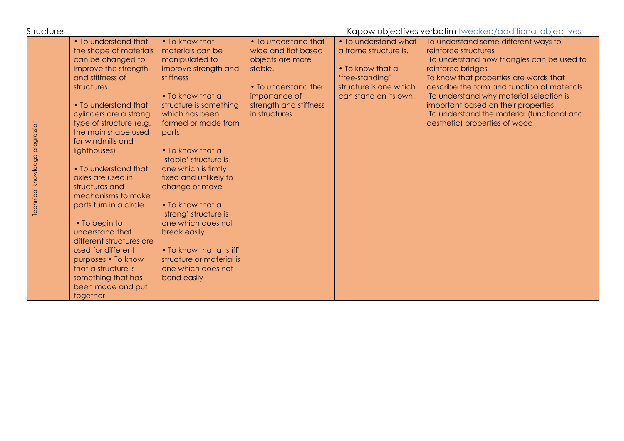| <b>Structures</b>               |                                                                                                                                                                                                                                                                                                                                                                                                                                                                                                                                                                                 |                                                                                                                                                                                                                                                                                                                                                                                                                                                                                          |                                                                                                                                                               |                                                                                                                                         | Kapow objectives verbatim tweaked/additional objectives                                                                                                                                                                                                                                                                                                                                   |
|---------------------------------|---------------------------------------------------------------------------------------------------------------------------------------------------------------------------------------------------------------------------------------------------------------------------------------------------------------------------------------------------------------------------------------------------------------------------------------------------------------------------------------------------------------------------------------------------------------------------------|------------------------------------------------------------------------------------------------------------------------------------------------------------------------------------------------------------------------------------------------------------------------------------------------------------------------------------------------------------------------------------------------------------------------------------------------------------------------------------------|---------------------------------------------------------------------------------------------------------------------------------------------------------------|-----------------------------------------------------------------------------------------------------------------------------------------|-------------------------------------------------------------------------------------------------------------------------------------------------------------------------------------------------------------------------------------------------------------------------------------------------------------------------------------------------------------------------------------------|
| Technical knowledge progression | . To understand that<br>the shape of materials<br>can be changed to<br>improve the strength<br>and stiffness of<br>structures<br>• To understand that<br>cylinders are a strong<br>type of structure (e.g.<br>the main shape used<br>for windmills and<br>lighthouses)<br>• To understand that<br>axles are used in<br>structures and<br>mechanisms to make<br>parts turn in a circle<br>• To begin to<br>understand that<br>different structures are<br>used for different<br>purposes • To know<br>that a structure is<br>something that has<br>been made and put<br>together | • To know that<br>materials can be<br>manipulated to<br>improve strength and<br>stiffness<br>• To know that a<br>structure is something<br>which has been<br>formed or made from<br>parts<br>• To know that a<br>'stable' structure is<br>one which is firmly<br>fixed and unlikely to<br>change or move<br>• To know that a<br>'strong' structure is<br>one which does not<br>break easily<br>. To know that a 'stiff'<br>structure or material is<br>one which does not<br>bend easily | • To understand that<br>wide and flat based<br>objects are more<br>stable.<br>• To understand the<br>importance of<br>strength and stiffness<br>in structures | • To understand what<br>a frame structure is.<br>• To know that a<br>'free-standing'<br>structure is one which<br>can stand on its own. | To understand some different ways to<br>reinforce structures<br>To understand how triangles can be used to<br>reinforce bridges<br>To know that properties are words that<br>describe the form and function of materials<br>To understand why material selection is<br>important based on their properties<br>To understand the material (functional and<br>aesthetic) properties of wood |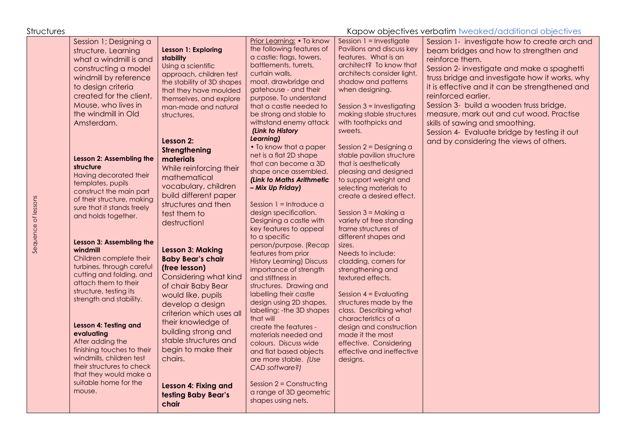Sequence of lessons

Sequence of lessons

## Structures Structures According to the Kapow objectives verbatim tweaked/additional objectives

| Session 1; Designing a<br>structure. Learning<br>what a windmill is and<br>constructing a model<br>windmill by reference<br>to design criteria<br>created for the client,<br>Mouse, who lives in<br>the windmill in Old<br>Amsterdam.                                                                                                                                                                                                                                                                                                                                                                                      | Lesson 1: Exploring<br>stability<br>Using a scientific<br>approach, children test<br>the stability of 3D shapes<br>that they have moulded<br>themselves, and explore<br>man-made and natural<br>structures.<br>Lesson 2:<br>Strengthening                                                                                                                                                                                                                                                                        | Prior Learning: • To know<br>the following features of<br>a castle: flags, towers,<br>battlements, turrets,<br>curtain walls,<br>moat, drawbridge and<br>gatehouse - and their<br>purpose. To understand<br>that a castle needed to<br>be strong and stable to<br>withstand enemy attack<br>(Link to History<br>Learning)<br>• To know that a paper                                                                                                                                                                                                                                                                                                                                                                                              | Session 1 = Investigate<br>Pavilions and discuss key<br>features. What is an<br>architect? To know that<br>architects consider light,<br>shadow and patterns<br>when designing.<br>Session 3 = Investigating<br>making stable structures<br>with toothpicks and<br>sweets.<br>Session 2 = Designing a                                                                                                                                                                                                                                                                                       | Session 1- investigate how to create arch and<br>beam bridges and how to strengthen and<br>reinforce them.<br>Session 2- investigate and make a spaghetti<br>truss bridge and investigate how it works, why<br>it is effective and it can be strengthened and<br>reinforced earlier.<br>Session 3- build a wooden truss bridge,<br>measure, mark out and cut wood. Practise<br>skills of sawing and smoothing.<br>Session 4- Evaluate bridge by testing it out<br>and by considering the views of others. |
|----------------------------------------------------------------------------------------------------------------------------------------------------------------------------------------------------------------------------------------------------------------------------------------------------------------------------------------------------------------------------------------------------------------------------------------------------------------------------------------------------------------------------------------------------------------------------------------------------------------------------|------------------------------------------------------------------------------------------------------------------------------------------------------------------------------------------------------------------------------------------------------------------------------------------------------------------------------------------------------------------------------------------------------------------------------------------------------------------------------------------------------------------|--------------------------------------------------------------------------------------------------------------------------------------------------------------------------------------------------------------------------------------------------------------------------------------------------------------------------------------------------------------------------------------------------------------------------------------------------------------------------------------------------------------------------------------------------------------------------------------------------------------------------------------------------------------------------------------------------------------------------------------------------|---------------------------------------------------------------------------------------------------------------------------------------------------------------------------------------------------------------------------------------------------------------------------------------------------------------------------------------------------------------------------------------------------------------------------------------------------------------------------------------------------------------------------------------------------------------------------------------------|-----------------------------------------------------------------------------------------------------------------------------------------------------------------------------------------------------------------------------------------------------------------------------------------------------------------------------------------------------------------------------------------------------------------------------------------------------------------------------------------------------------|
| Lesson 2: Assembling the<br>structure<br>Having decorated their<br>templates, pupils<br>construct the main part<br>of their structure, making<br>sure that it stands freely<br>and holds together.<br>Lesson 3: Assembling the<br>windmill<br>Children complete their<br>turbines, through careful<br>cutting and folding, and<br>attach them to their<br>structure, testing its<br>strength and stability.<br>Lesson 4: Testing and<br>evaluating<br>After adding the<br>finishing touches to their<br>windmills, children test<br>their structures to check<br>that they would make a<br>suitable home for the<br>mouse. | materials<br>While reinforcing their<br>mathematical<br>vocabulary, children<br>build different paper<br>structures and then<br>test them to<br>destruction!<br><b>Lesson 3: Making</b><br><b>Baby Bear's chair</b><br>(free lesson)<br>Considering what kind<br>of chair Baby Bear<br>would like, pupils<br>develop a design<br>criterion which uses all<br>their knowledge of<br>building strong and<br>stable structures and<br>begin to make their<br>chairs.<br>Lesson 4: Fixing and<br>testing Baby Bear's | net is a flat 2D shape<br>that can become a 3D<br>shape once assembled.<br>(Link to Maths Arithmetic<br>- Mix Up Friday)<br>Session $1 = Introduce a$<br>design specification.<br>Designing a castle with<br>key features to appeal<br>to a specific<br>person/purpose. (Recap<br>features from prior<br><b>History Learning) Discuss</b><br>importance of strength<br>and stiffness in<br>structures. Drawing and<br>labelling their castle<br>design using 2D shapes,<br>labelling: - the 3D shapes<br>that will<br>create the features -<br>materials needed and<br>colours. Discuss wide<br>and flat based objects<br>are more stable. (Use<br>CAD software?)<br>Session $2 =$ Constructing<br>a range of 3D geometric<br>shapes using nets. | stable pavilion structure<br>that is aesthetically<br>pleasing and designed<br>to support weight and<br>selecting materials to<br>create a desired effect.<br>Session $3$ = Making a<br>variety of free standing<br>frame structures of<br>different shapes and<br>sizes.<br>Needs to include:<br>cladding, corners for<br>strengthening and<br>textured effects.<br>Session $4 =$ Evaluating<br>structures made by the<br>class. Describing what<br>characteristics of a<br>design and construction<br>made it the most<br>effective. Considering<br>effective and ineffective<br>designs. |                                                                                                                                                                                                                                                                                                                                                                                                                                                                                                           |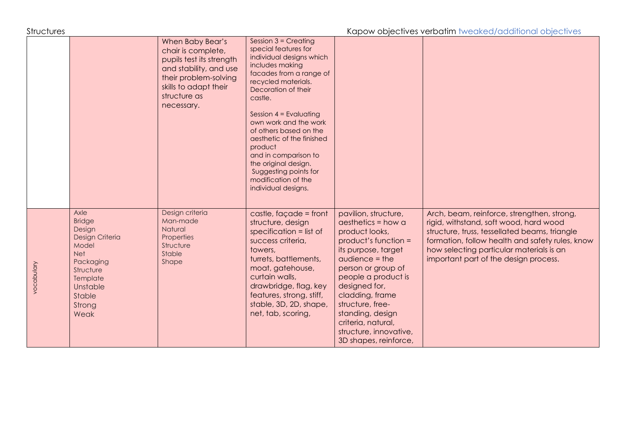Structures Mapow objectives verbatim tweaked/additional objectives

|            |                                                                                                                                                         | When Baby Bear's<br>chair is complete,<br>pupils test its strength<br>and stability, and use<br>their problem-solving<br>skills to adapt their<br>structure as<br>necessary. | Session $3$ = Creating<br>special features for<br>individual designs which<br>includes making<br>facades from a range of<br>recycled materials.<br>Decoration of their<br>castle.<br>Session $4 =$ Evaluating<br>own work and the work<br>of others based on the<br>aesthetic of the finished<br>product<br>and in comparison to<br>the original design.<br>Suggesting points for<br>modification of the<br>individual designs. |                                                                                                                                                                                                                                                                                                                                        |                                                                                                                                                                                                                                                                               |
|------------|---------------------------------------------------------------------------------------------------------------------------------------------------------|------------------------------------------------------------------------------------------------------------------------------------------------------------------------------|---------------------------------------------------------------------------------------------------------------------------------------------------------------------------------------------------------------------------------------------------------------------------------------------------------------------------------------------------------------------------------------------------------------------------------|----------------------------------------------------------------------------------------------------------------------------------------------------------------------------------------------------------------------------------------------------------------------------------------------------------------------------------------|-------------------------------------------------------------------------------------------------------------------------------------------------------------------------------------------------------------------------------------------------------------------------------|
| vocabulary | Axle<br><b>Bridge</b><br>Design<br>Design Criteria<br>Model<br><b>Net</b><br>Packaging<br>Structure<br>Template<br>Unstable<br>Stable<br>Strong<br>Weak | Design criteria<br>Man-made<br>Natural<br>Properties<br>Structure<br>Stable<br>Shape                                                                                         | castle, façade = front<br>structure, design<br>specification $=$ list of<br>success criteria,<br>towers,<br>turrets, battlements,<br>moat, gatehouse,<br>curtain walls,<br>drawbridge, flag, key<br>features, strong, stiff,<br>stable, 3D, 2D, shape,<br>net, tab, scoring,                                                                                                                                                    | pavilion, structure,<br>$a$ esthetics = how $a$<br>product looks,<br>product's function =<br>its purpose, target<br>$audience = the$<br>person or group of<br>people a product is<br>designed for,<br>cladding, frame<br>structure, free-<br>standing, design<br>criteria, natural,<br>structure, innovative,<br>3D shapes, reinforce, | Arch, beam, reinforce, strengthen, strong,<br>rigid, withstand, soft wood, hard wood<br>structure, truss, tessellated beams, triangle<br>formation, follow health and safety rules, know<br>how selecting particular materials is an<br>important part of the design process. |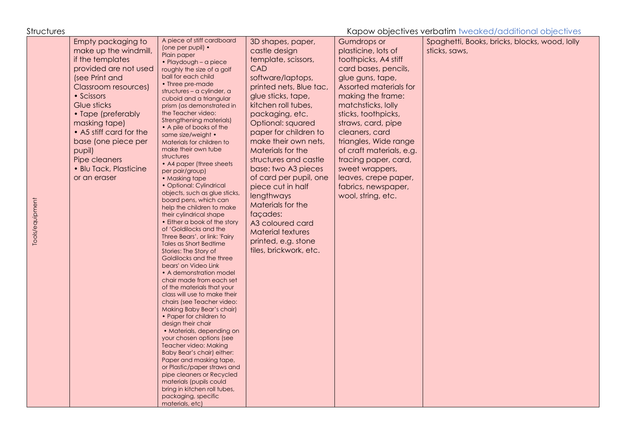Structures Kapow objectives verbatim tweaked/additional objectives A piece of stiff cardboard Spaghetti, Books, bricks, blocks, wood, lolly Empty packaging to 3D shapes, paper, Gumdrops or (one per pupil) • make up the windmill, castle design plasticine, lots of sticks, saws, Plain paper if the templates template, scissors, toothpicks, A4 stiff • Playdough – a piece provided are not used CAD roughly the size of a golf card bases, pencils, ball for each child (see Print and software/laptops, glue guns, tape, • Three pre-made printed nets, Blue tac, Assorted materials for Classroom resources) structures – a cylinder, a • Scissors glue sticks, tape, making the frame: cuboid and a triangular Glue sticks kitchen roll tubes, matchsticks, lolly prism (as demonstrated in the Teacher video: • Tape (preferably packaging, etc. sticks, toothpicks, Strengthening materials) Optional: squared straws, card, pipe masking tape) • A pile of books of the • A5 stiff card for the paper for children to cleaners, card same size/weight • make their own nets, triangles, Wide range base (one piece per Materials for children to make their own tube pupil) Materials for the of craft materials, e.g. structures Pipe cleaners structures and castle tracing paper, card, • A4 paper (three sheets) • Blu Tack, Plasticine base: two A3 pieces sweet wrappers, per pair/group) of card per pupil, one or an eraser • Masking tape leaves, crepe paper, • Optional: Cylindrical piece cut in half fabrics, newspaper, objects, such as glue sticks, **lengthways** wool, string, etc. board pens, which can Tools/equipment Tools/equipment Materials for the help the children to make façades: their cylindrical shape • Either a book of the story A3 coloured card of 'Goldilocks and the Material textures Three Bears', or link: 'Fairy printed, e.g. stone Tales as Short Bedtime tiles, brickwork, etc. Stories: The Story of Goldilocks and the three bears' on Video Link • A demonstration model chair made from each set of the materials that your class will use to make their chairs (see Teacher video: Making Baby Bear's chair) • Paper for children to design their chair • Materials, depending on your chosen options (see Teacher video: Making Baby Bear's chair) either: Paper and masking tape, or Plastic/paper straws and pipe cleaners or Recycled materials (pupils could bring in kitchen roll tubes, packaging, specific materials, etc)